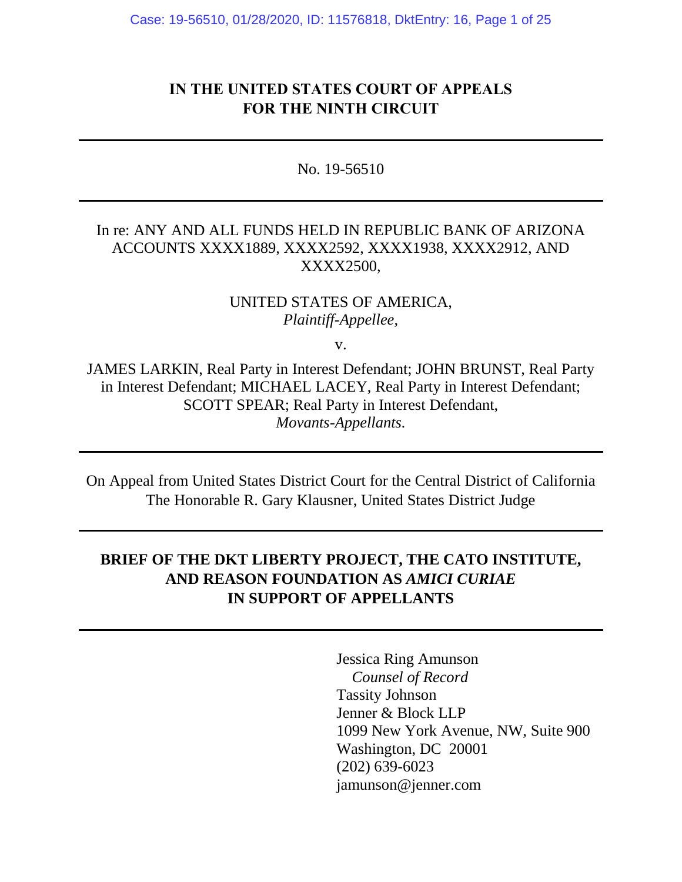# **IN THE UNITED STATES COURT OF APPEALS FOR THE NINTH CIRCUIT**

No. 19-56510

### In re: ANY AND ALL FUNDS HELD IN REPUBLIC BANK OF ARIZONA ACCOUNTS XXXX1889, XXXX2592, XXXX1938, XXXX2912, AND XXXX2500,

### UNITED STATES OF AMERICA, *Plaintiff-Appellee*,

v.

JAMES LARKIN, Real Party in Interest Defendant; JOHN BRUNST, Real Party in Interest Defendant; MICHAEL LACEY, Real Party in Interest Defendant; SCOTT SPEAR; Real Party in Interest Defendant, *Movants-Appellants.*

On Appeal from United States District Court for the Central District of California The Honorable R. Gary Klausner, United States District Judge

# **BRIEF OF THE DKT LIBERTY PROJECT, THE CATO INSTITUTE, AND REASON FOUNDATION AS** *AMICI CURIAE* **IN SUPPORT OF APPELLANTS**

Jessica Ring Amunson *Counsel of Record* Tassity Johnson Jenner & Block LLP 1099 New York Avenue, NW, Suite 900 Washington, DC 20001 (202) 639-6023 jamunson@jenner.com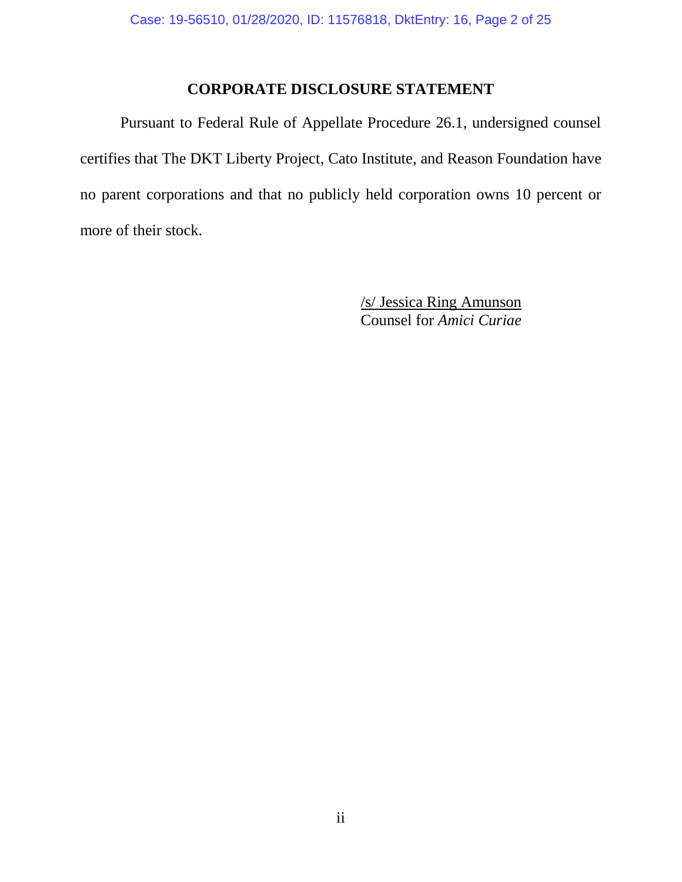## **CORPORATE DISCLOSURE STATEMENT**

Pursuant to Federal Rule of Appellate Procedure 26.1, undersigned counsel certifies that The DKT Liberty Project, Cato Institute, and Reason Foundation have no parent corporations and that no publicly held corporation owns 10 percent or more of their stock.

> /s/ Jessica Ring Amunson Counsel for *Amici Curiae*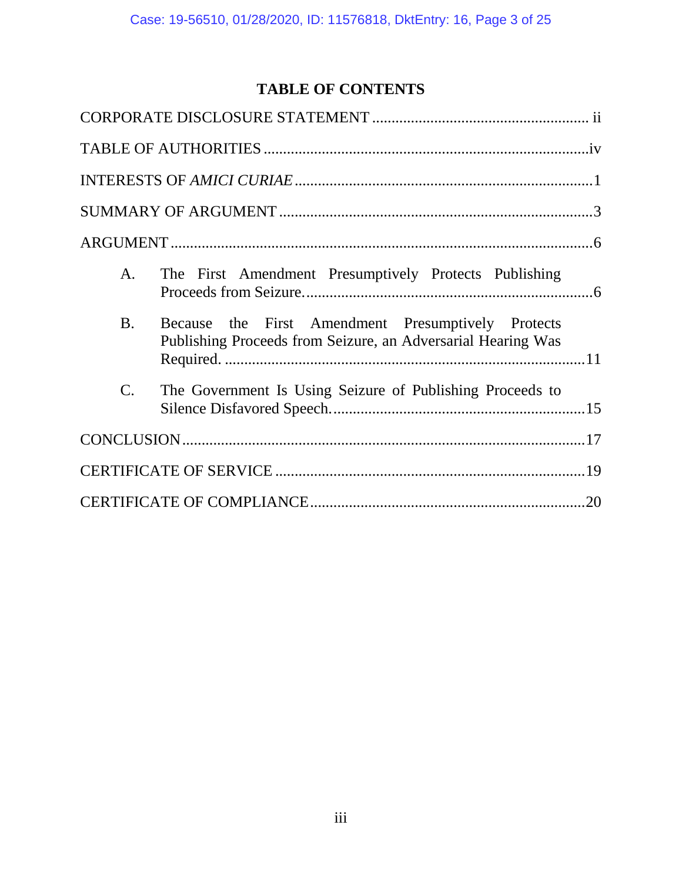# **TABLE OF CONTENTS**

| A.              | The First Amendment Presumptively Protects Publishing                                                              |  |
|-----------------|--------------------------------------------------------------------------------------------------------------------|--|
| <b>B.</b>       | Because the First Amendment Presumptively Protects<br>Publishing Proceeds from Seizure, an Adversarial Hearing Was |  |
| $\mathcal{C}$ . | The Government Is Using Seizure of Publishing Proceeds to                                                          |  |
|                 |                                                                                                                    |  |
|                 |                                                                                                                    |  |
|                 |                                                                                                                    |  |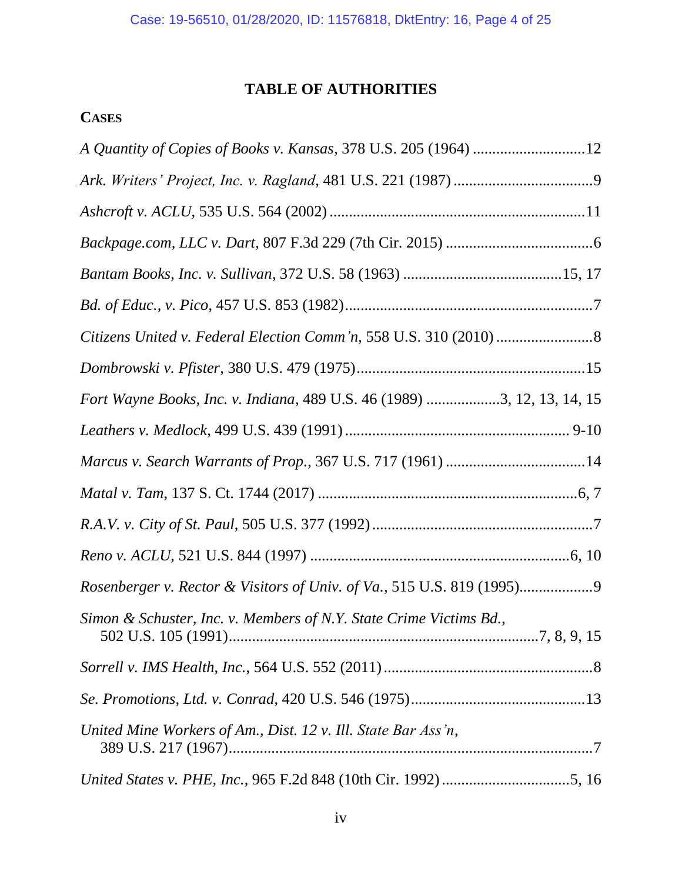# **TABLE OF AUTHORITIES**

# **CASES**

| A Quantity of Copies of Books v. Kansas, 378 U.S. 205 (1964) 12         |
|-------------------------------------------------------------------------|
|                                                                         |
|                                                                         |
|                                                                         |
|                                                                         |
|                                                                         |
|                                                                         |
|                                                                         |
| Fort Wayne Books, Inc. v. Indiana, 489 U.S. 46 (1989) 3, 12, 13, 14, 15 |
|                                                                         |
|                                                                         |
|                                                                         |
|                                                                         |
|                                                                         |
| Rosenberger v. Rector & Visitors of Univ. of Va., 515 U.S. 819 (1995)   |
| Simon & Schuster, Inc. v. Members of N.Y. State Crime Victims Bd.,      |
|                                                                         |
|                                                                         |
| United Mine Workers of Am., Dist. 12 v. Ill. State Bar Ass'n,           |
|                                                                         |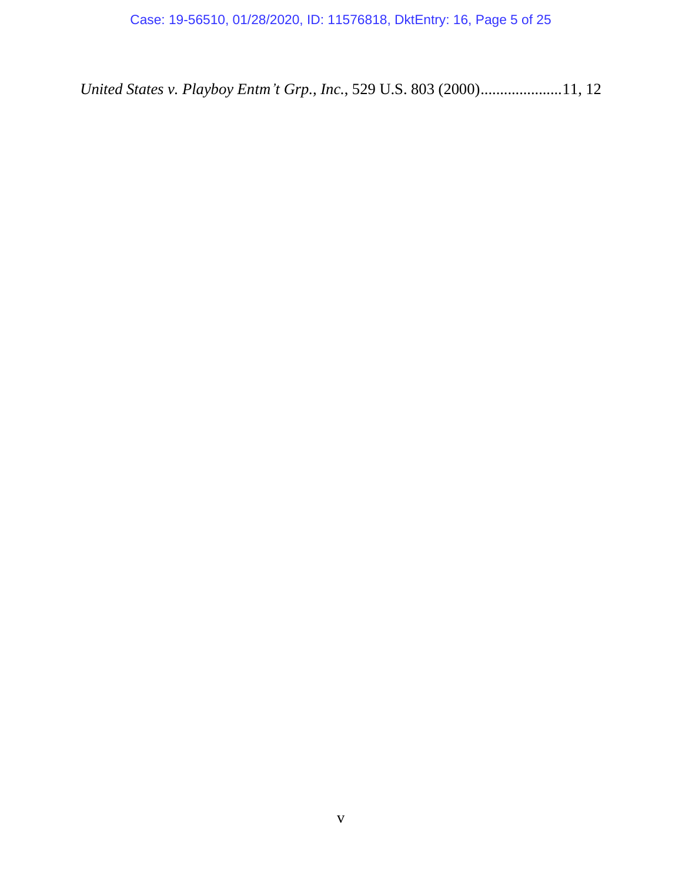*United States v. Playboy Entm't Grp., Inc.*, 529 U.S. 803 (2000).....................11, 12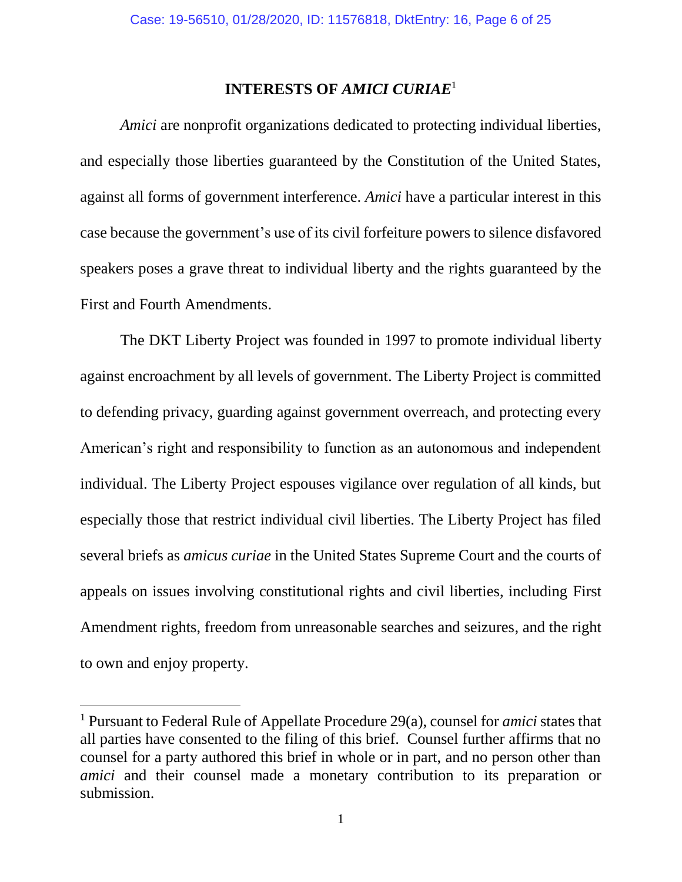### **INTERESTS OF** *AMICI CURIAE*<sup>1</sup>

*Amici* are nonprofit organizations dedicated to protecting individual liberties, and especially those liberties guaranteed by the Constitution of the United States, against all forms of government interference. *Amici* have a particular interest in this case because the government's use of its civil forfeiture powers to silence disfavored speakers poses a grave threat to individual liberty and the rights guaranteed by the First and Fourth Amendments.

The DKT Liberty Project was founded in 1997 to promote individual liberty against encroachment by all levels of government. The Liberty Project is committed to defending privacy, guarding against government overreach, and protecting every American's right and responsibility to function as an autonomous and independent individual. The Liberty Project espouses vigilance over regulation of all kinds, but especially those that restrict individual civil liberties. The Liberty Project has filed several briefs as *amicus curiae* in the United States Supreme Court and the courts of appeals on issues involving constitutional rights and civil liberties, including First Amendment rights, freedom from unreasonable searches and seizures, and the right to own and enjoy property.

 $\overline{a}$ 

<sup>1</sup> Pursuant to Federal Rule of Appellate Procedure 29(a), counsel for *amici* states that all parties have consented to the filing of this brief. Counsel further affirms that no counsel for a party authored this brief in whole or in part, and no person other than *amici* and their counsel made a monetary contribution to its preparation or submission.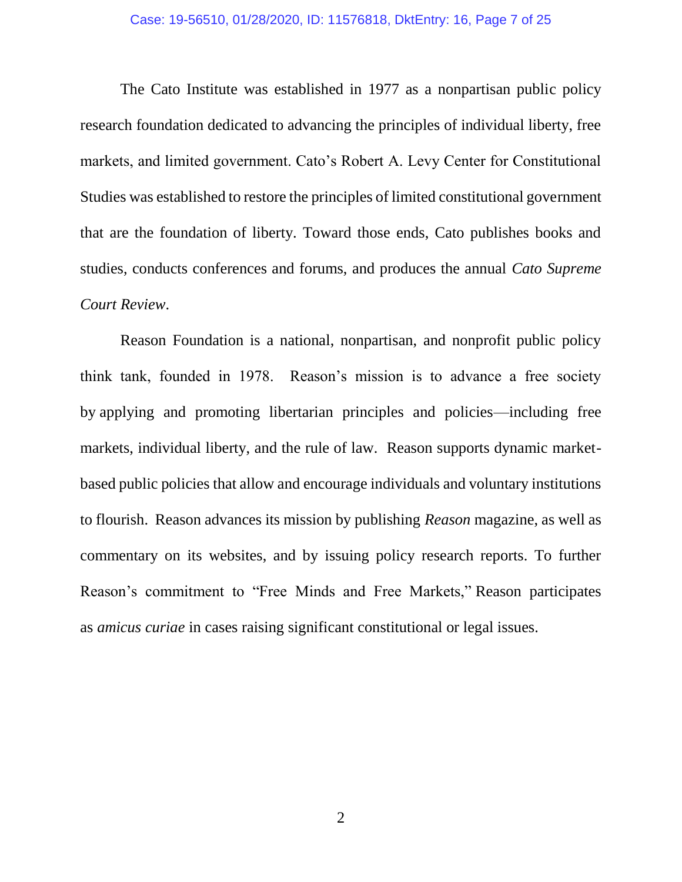#### Case: 19-56510, 01/28/2020, ID: 11576818, DktEntry: 16, Page 7 of 25

The Cato Institute was established in 1977 as a nonpartisan public policy research foundation dedicated to advancing the principles of individual liberty, free markets, and limited government. Cato's Robert A. Levy Center for Constitutional Studies was established to restore the principles of limited constitutional government that are the foundation of liberty. Toward those ends, Cato publishes books and studies, conducts conferences and forums, and produces the annual *Cato Supreme Court Review*.

Reason Foundation is a national, nonpartisan, and nonprofit public policy think tank, founded in 1978. Reason's mission is to advance a free society by applying and promoting libertarian principles and policies—including free markets, individual liberty, and the rule of law. Reason supports dynamic marketbased public policies that allow and encourage individuals and voluntary institutions to flourish. Reason advances its mission by publishing *Reason* magazine, as well as commentary on its websites, and by issuing policy research reports. To further Reason's commitment to "Free Minds and Free Markets," Reason participates as *amicus curiae* in cases raising significant constitutional or legal issues.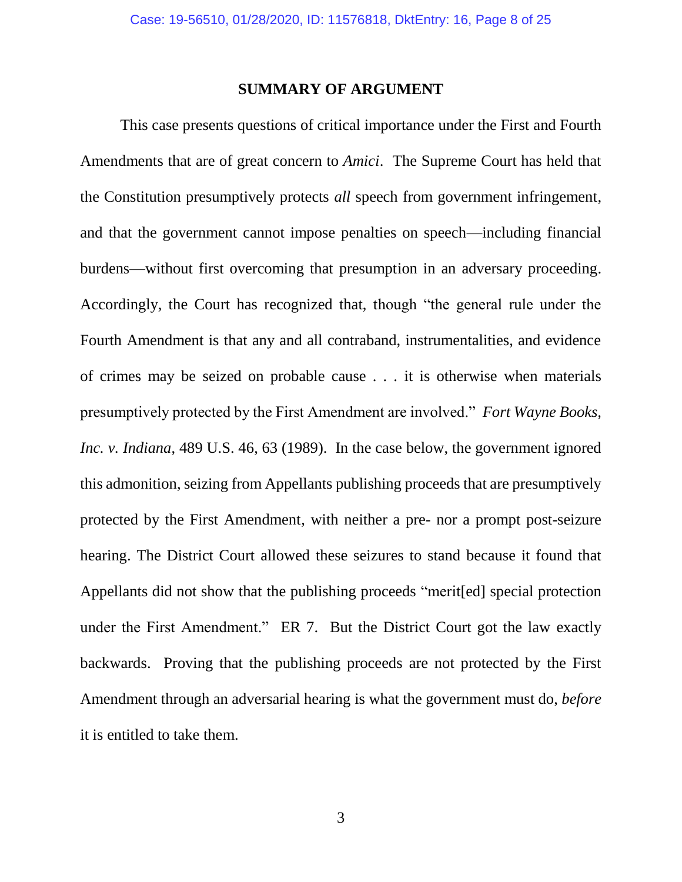### **SUMMARY OF ARGUMENT**

This case presents questions of critical importance under the First and Fourth Amendments that are of great concern to *Amici*. The Supreme Court has held that the Constitution presumptively protects *all* speech from government infringement, and that the government cannot impose penalties on speech—including financial burdens—without first overcoming that presumption in an adversary proceeding. Accordingly, the Court has recognized that, though "the general rule under the Fourth Amendment is that any and all contraband, instrumentalities, and evidence of crimes may be seized on probable cause . . . it is otherwise when materials presumptively protected by the First Amendment are involved." *Fort Wayne Books, Inc. v. Indiana*, 489 U.S. 46, 63 (1989). In the case below, the government ignored this admonition, seizing from Appellants publishing proceeds that are presumptively protected by the First Amendment, with neither a pre- nor a prompt post-seizure hearing. The District Court allowed these seizures to stand because it found that Appellants did not show that the publishing proceeds "merit[ed] special protection under the First Amendment." ER 7. But the District Court got the law exactly backwards. Proving that the publishing proceeds are not protected by the First Amendment through an adversarial hearing is what the government must do, *before* it is entitled to take them.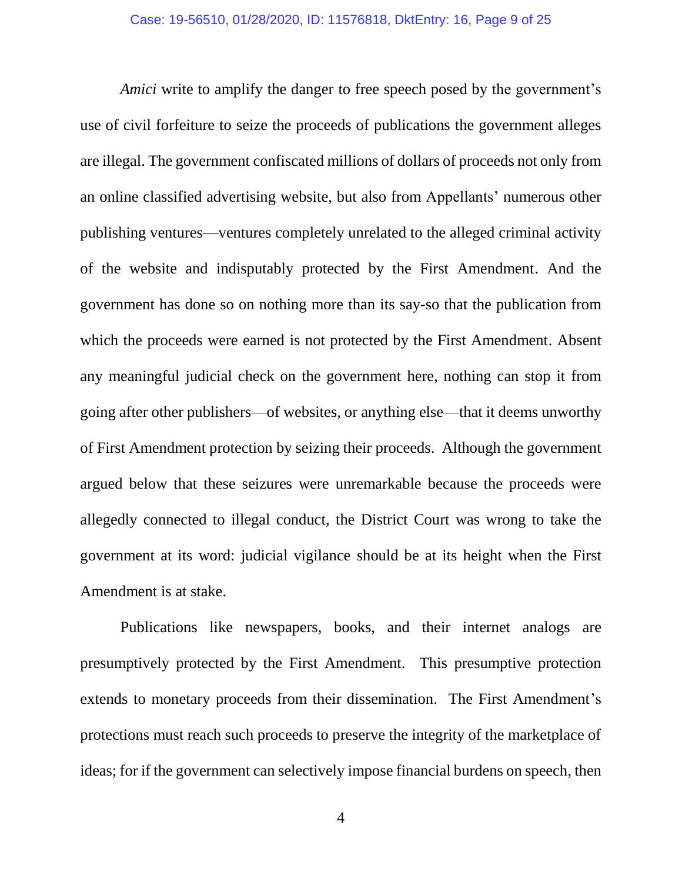*Amici* write to amplify the danger to free speech posed by the government's use of civil forfeiture to seize the proceeds of publications the government alleges are illegal. The government confiscated millions of dollars of proceeds not only from an online classified advertising website, but also from Appellants' numerous other publishing ventures—ventures completely unrelated to the alleged criminal activity of the website and indisputably protected by the First Amendment. And the government has done so on nothing more than its say-so that the publication from which the proceeds were earned is not protected by the First Amendment. Absent any meaningful judicial check on the government here, nothing can stop it from going after other publishers—of websites, or anything else—that it deems unworthy of First Amendment protection by seizing their proceeds. Although the government argued below that these seizures were unremarkable because the proceeds were allegedly connected to illegal conduct, the District Court was wrong to take the government at its word: judicial vigilance should be at its height when the First Amendment is at stake.

Publications like newspapers, books, and their internet analogs are presumptively protected by the First Amendment. This presumptive protection extends to monetary proceeds from their dissemination. The First Amendment's protections must reach such proceeds to preserve the integrity of the marketplace of ideas; for if the government can selectively impose financial burdens on speech, then

4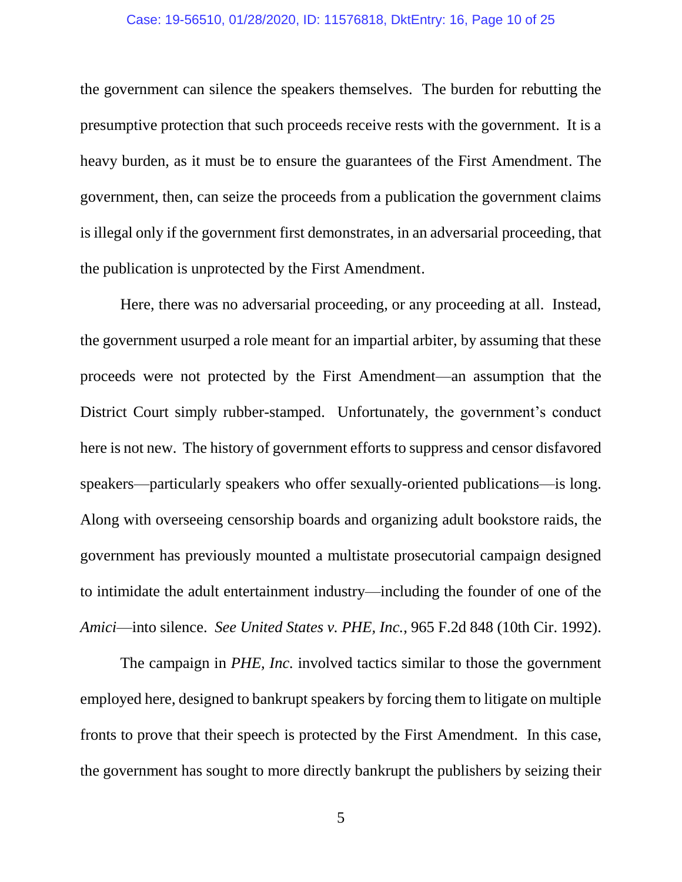#### Case: 19-56510, 01/28/2020, ID: 11576818, DktEntry: 16, Page 10 of 25

the government can silence the speakers themselves. The burden for rebutting the presumptive protection that such proceeds receive rests with the government. It is a heavy burden, as it must be to ensure the guarantees of the First Amendment. The government, then, can seize the proceeds from a publication the government claims is illegal only if the government first demonstrates, in an adversarial proceeding, that the publication is unprotected by the First Amendment.

Here, there was no adversarial proceeding, or any proceeding at all. Instead, the government usurped a role meant for an impartial arbiter, by assuming that these proceeds were not protected by the First Amendment—an assumption that the District Court simply rubber-stamped. Unfortunately, the government's conduct here is not new. The history of government efforts to suppress and censor disfavored speakers—particularly speakers who offer sexually-oriented publications—is long. Along with overseeing censorship boards and organizing adult bookstore raids, the government has previously mounted a multistate prosecutorial campaign designed to intimidate the adult entertainment industry—including the founder of one of the *Amici*—into silence. *See United States v. PHE, Inc.*, 965 F.2d 848 (10th Cir. 1992).

The campaign in *PHE, Inc.* involved tactics similar to those the government employed here, designed to bankrupt speakers by forcing them to litigate on multiple fronts to prove that their speech is protected by the First Amendment. In this case, the government has sought to more directly bankrupt the publishers by seizing their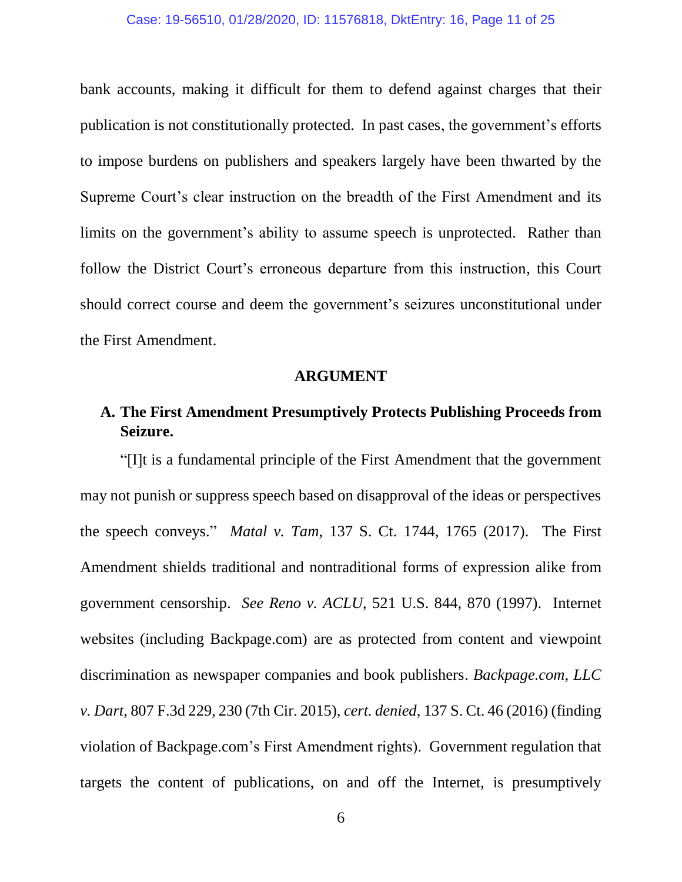#### Case: 19-56510, 01/28/2020, ID: 11576818, DktEntry: 16, Page 11 of 25

bank accounts, making it difficult for them to defend against charges that their publication is not constitutionally protected. In past cases, the government's efforts to impose burdens on publishers and speakers largely have been thwarted by the Supreme Court's clear instruction on the breadth of the First Amendment and its limits on the government's ability to assume speech is unprotected. Rather than follow the District Court's erroneous departure from this instruction, this Court should correct course and deem the government's seizures unconstitutional under the First Amendment.

#### **ARGUMENT**

# **A. The First Amendment Presumptively Protects Publishing Proceeds from Seizure.**

"[I]t is a fundamental principle of the First Amendment that the government may not punish or suppress speech based on disapproval of the ideas or perspectives the speech conveys." *Matal v. Tam*, 137 S. Ct. 1744, 1765 (2017). The First Amendment shields traditional and nontraditional forms of expression alike from government censorship. *See Reno v. ACLU*, 521 U.S. 844, 870 (1997). Internet websites (including Backpage.com) are as protected from content and viewpoint discrimination as newspaper companies and book publishers. *Backpage.com, LLC v. Dart*, 807 F.3d 229, 230 (7th Cir. 2015), *cert. denied*, 137 S. Ct. 46 (2016) (finding violation of Backpage.com's First Amendment rights). Government regulation that targets the content of publications, on and off the Internet, is presumptively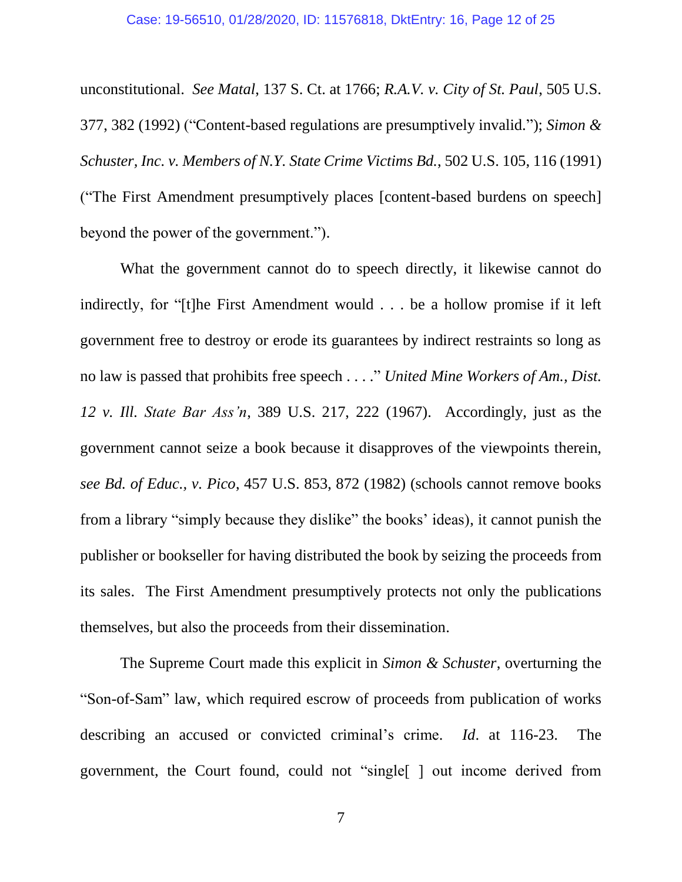unconstitutional. *See Matal*, 137 S. Ct. at 1766; *R.A.V. v. City of St. Paul*, 505 U.S. 377, 382 (1992) ("Content-based regulations are presumptively invalid."); *Simon & Schuster, Inc. v. Members of N.Y. State Crime Victims Bd.*, 502 U.S. 105, 116 (1991) ("The First Amendment presumptively places [content-based burdens on speech] beyond the power of the government.").

What the government cannot do to speech directly, it likewise cannot do indirectly, for "[t]he First Amendment would . . . be a hollow promise if it left government free to destroy or erode its guarantees by indirect restraints so long as no law is passed that prohibits free speech . . . ." *United Mine Workers of Am., Dist. 12 v. Ill. State Bar Ass'n*, 389 U.S. 217, 222 (1967). Accordingly, just as the government cannot seize a book because it disapproves of the viewpoints therein, *see Bd. of Educ., v. Pico*, 457 U.S. 853, 872 (1982) (schools cannot remove books from a library "simply because they dislike" the books' ideas), it cannot punish the publisher or bookseller for having distributed the book by seizing the proceeds from its sales. The First Amendment presumptively protects not only the publications themselves, but also the proceeds from their dissemination.

The Supreme Court made this explicit in *Simon & Schuster*, overturning the "Son-of-Sam" law, which required escrow of proceeds from publication of works describing an accused or convicted criminal's crime. *Id*. at 116-23. The government, the Court found, could not "single[ ] out income derived from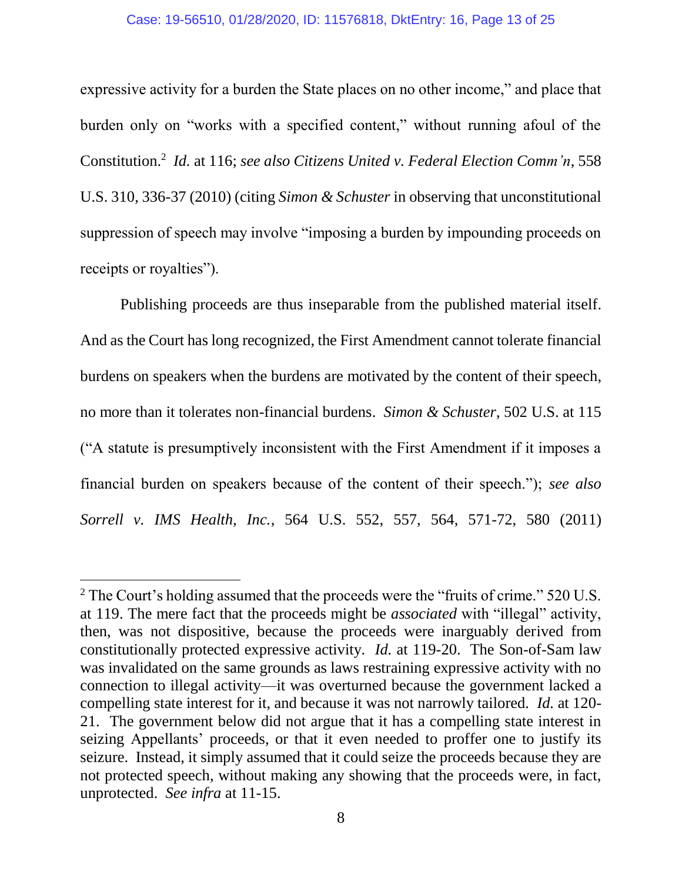#### Case: 19-56510, 01/28/2020, ID: 11576818, DktEntry: 16, Page 13 of 25

expressive activity for a burden the State places on no other income," and place that burden only on "works with a specified content," without running afoul of the Constitution.<sup>2</sup> *Id.* at 116; *see also Citizens United v. Federal Election Comm'n*, 558 U.S. 310, 336-37 (2010) (citing *Simon & Schuster* in observing that unconstitutional suppression of speech may involve "imposing a burden by impounding proceeds on receipts or royalties").

Publishing proceeds are thus inseparable from the published material itself. And as the Court has long recognized, the First Amendment cannot tolerate financial burdens on speakers when the burdens are motivated by the content of their speech, no more than it tolerates non-financial burdens. *Simon & Schuster*, 502 U.S. at 115 ("A statute is presumptively inconsistent with the First Amendment if it imposes a financial burden on speakers because of the content of their speech."); *see also Sorrell v. IMS Health, Inc.*, 564 U.S. 552, 557, 564, 571-72, 580 (2011)

 $\overline{a}$ 

 $2$  The Court's holding assumed that the proceeds were the "fruits of crime." 520 U.S. at 119. The mere fact that the proceeds might be *associated* with "illegal" activity, then, was not dispositive, because the proceeds were inarguably derived from constitutionally protected expressive activity. *Id.* at 119-20. The Son-of-Sam law was invalidated on the same grounds as laws restraining expressive activity with no connection to illegal activity—it was overturned because the government lacked a compelling state interest for it, and because it was not narrowly tailored. *Id.* at 120- 21. The government below did not argue that it has a compelling state interest in seizing Appellants' proceeds, or that it even needed to proffer one to justify its seizure. Instead, it simply assumed that it could seize the proceeds because they are not protected speech, without making any showing that the proceeds were, in fact, unprotected. *See infra* at 11-15.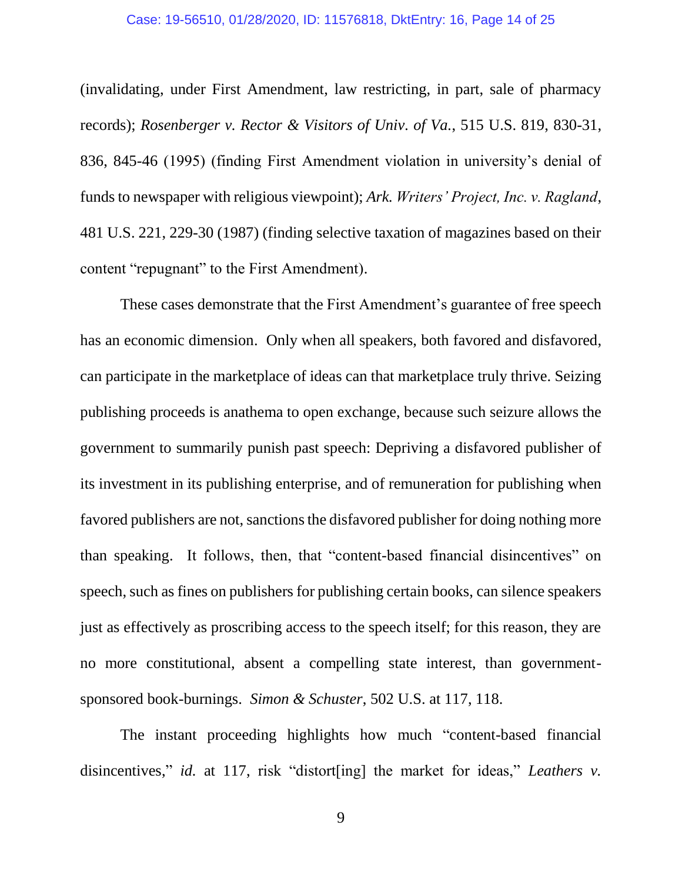#### Case: 19-56510, 01/28/2020, ID: 11576818, DktEntry: 16, Page 14 of 25

(invalidating, under First Amendment, law restricting, in part, sale of pharmacy records); *Rosenberger v. Rector & Visitors of Univ. of Va.*, 515 U.S. 819, 830-31, 836, 845-46 (1995) (finding First Amendment violation in university's denial of funds to newspaper with religious viewpoint); *Ark. Writers' Project, Inc. v. Ragland*, 481 U.S. 221, 229-30 (1987) (finding selective taxation of magazines based on their content "repugnant" to the First Amendment).

These cases demonstrate that the First Amendment's guarantee of free speech has an economic dimension. Only when all speakers, both favored and disfavored, can participate in the marketplace of ideas can that marketplace truly thrive. Seizing publishing proceeds is anathema to open exchange, because such seizure allows the government to summarily punish past speech: Depriving a disfavored publisher of its investment in its publishing enterprise, and of remuneration for publishing when favored publishers are not, sanctions the disfavored publisher for doing nothing more than speaking. It follows, then, that "content-based financial disincentives" on speech, such as fines on publishers for publishing certain books, can silence speakers just as effectively as proscribing access to the speech itself; for this reason, they are no more constitutional, absent a compelling state interest, than governmentsponsored book-burnings. *Simon & Schuster*, 502 U.S. at 117, 118.

The instant proceeding highlights how much "content-based financial disincentives," *id.* at 117, risk "distort[ing] the market for ideas," *Leathers v.* 

9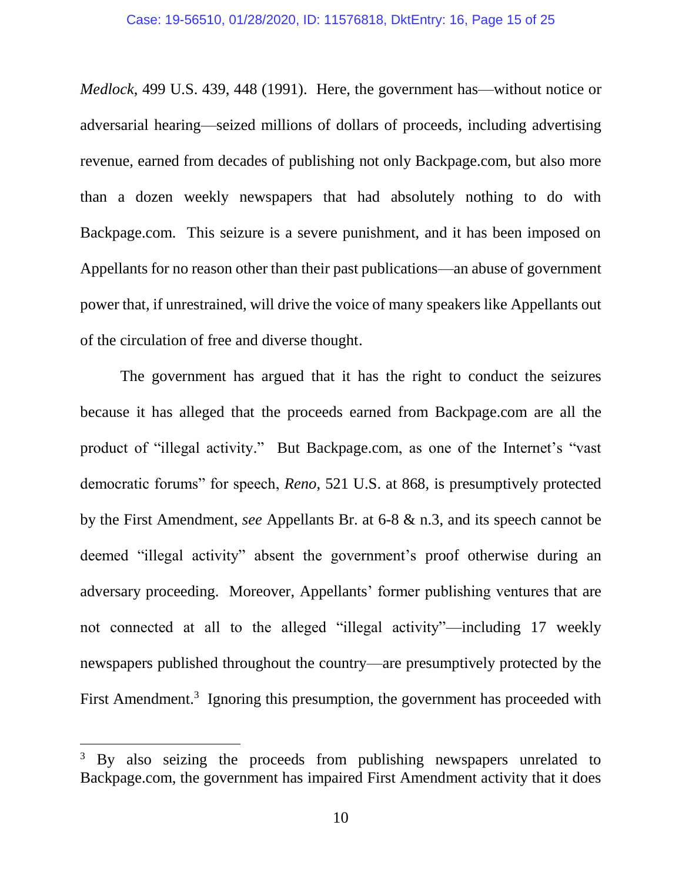*Medlock*, 499 U.S. 439, 448 (1991). Here, the government has—without notice or adversarial hearing—seized millions of dollars of proceeds, including advertising revenue, earned from decades of publishing not only Backpage.com, but also more than a dozen weekly newspapers that had absolutely nothing to do with Backpage.com. This seizure is a severe punishment, and it has been imposed on Appellants for no reason other than their past publications—an abuse of government power that, if unrestrained, will drive the voice of many speakers like Appellants out of the circulation of free and diverse thought.

The government has argued that it has the right to conduct the seizures because it has alleged that the proceeds earned from Backpage.com are all the product of "illegal activity." But Backpage.com, as one of the Internet's "vast democratic forums" for speech, *Reno*, 521 U.S. at 868, is presumptively protected by the First Amendment, *see* Appellants Br. at 6-8 & n.3, and its speech cannot be deemed "illegal activity" absent the government's proof otherwise during an adversary proceeding. Moreover, Appellants' former publishing ventures that are not connected at all to the alleged "illegal activity"—including 17 weekly newspapers published throughout the country—are presumptively protected by the First Amendment.<sup>3</sup> Ignoring this presumption, the government has proceeded with

 $\overline{a}$ 

<sup>&</sup>lt;sup>3</sup> By also seizing the proceeds from publishing newspapers unrelated to Backpage.com, the government has impaired First Amendment activity that it does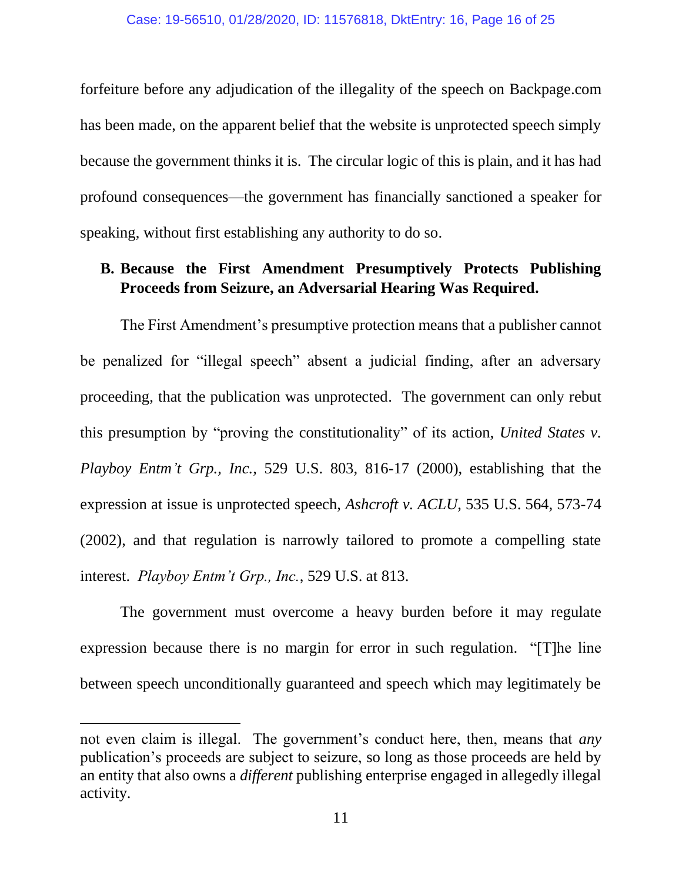forfeiture before any adjudication of the illegality of the speech on Backpage.com has been made, on the apparent belief that the website is unprotected speech simply because the government thinks it is. The circular logic of this is plain, and it has had profound consequences—the government has financially sanctioned a speaker for speaking, without first establishing any authority to do so.

### **B. Because the First Amendment Presumptively Protects Publishing Proceeds from Seizure, an Adversarial Hearing Was Required.**

The First Amendment's presumptive protection means that a publisher cannot be penalized for "illegal speech" absent a judicial finding, after an adversary proceeding, that the publication was unprotected. The government can only rebut this presumption by "proving the constitutionality" of its action, *United States v. Playboy Entm't Grp., Inc.*, 529 U.S. 803, 816-17 (2000), establishing that the expression at issue is unprotected speech, *Ashcroft v. ACLU*, 535 U.S. 564, 573-74 (2002), and that regulation is narrowly tailored to promote a compelling state interest. *Playboy Entm't Grp., Inc.*, 529 U.S. at 813.

The government must overcome a heavy burden before it may regulate expression because there is no margin for error in such regulation. "[T]he line between speech unconditionally guaranteed and speech which may legitimately be

 $\overline{a}$ 

not even claim is illegal. The government's conduct here, then, means that *any* publication's proceeds are subject to seizure, so long as those proceeds are held by an entity that also owns a *different* publishing enterprise engaged in allegedly illegal activity.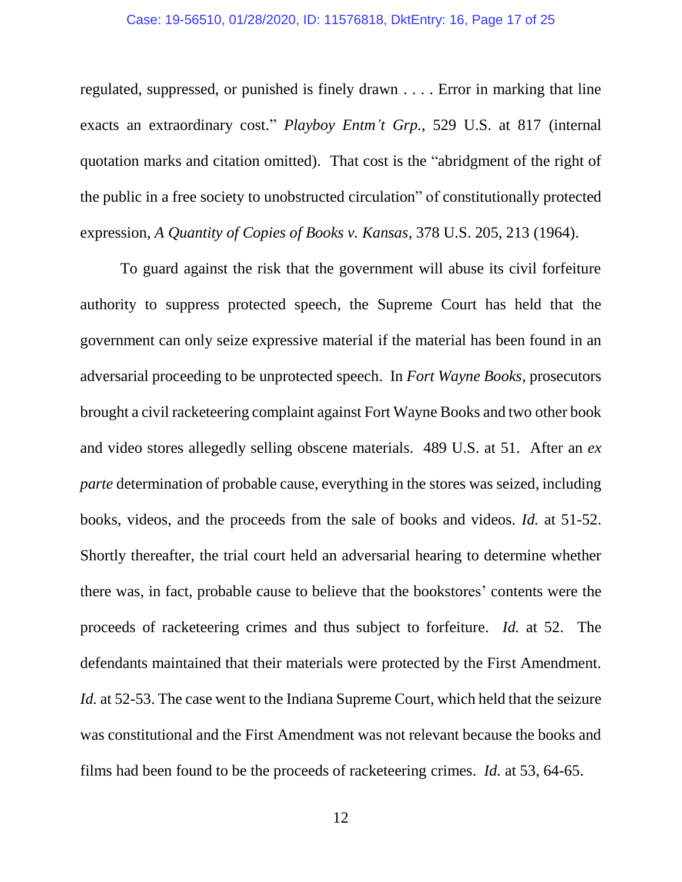#### Case: 19-56510, 01/28/2020, ID: 11576818, DktEntry: 16, Page 17 of 25

regulated, suppressed, or punished is finely drawn . . . . Error in marking that line exacts an extraordinary cost." *Playboy Entm't Grp.*, 529 U.S. at 817 (internal quotation marks and citation omitted). That cost is the "abridgment of the right of the public in a free society to unobstructed circulation" of constitutionally protected expression, *A Quantity of Copies of Books v. Kansas*, 378 U.S. 205, 213 (1964).

To guard against the risk that the government will abuse its civil forfeiture authority to suppress protected speech, the Supreme Court has held that the government can only seize expressive material if the material has been found in an adversarial proceeding to be unprotected speech. In *Fort Wayne Books*, prosecutors brought a civil racketeering complaint against Fort Wayne Books and two other book and video stores allegedly selling obscene materials. 489 U.S. at 51. After an *ex parte* determination of probable cause, everything in the stores was seized, including books, videos, and the proceeds from the sale of books and videos. *Id.* at 51-52. Shortly thereafter, the trial court held an adversarial hearing to determine whether there was, in fact, probable cause to believe that the bookstores' contents were the proceeds of racketeering crimes and thus subject to forfeiture. *Id.* at 52. The defendants maintained that their materials were protected by the First Amendment. *Id.* at 52-53. The case went to the Indiana Supreme Court, which held that the seizure was constitutional and the First Amendment was not relevant because the books and films had been found to be the proceeds of racketeering crimes. *Id.* at 53, 64-65.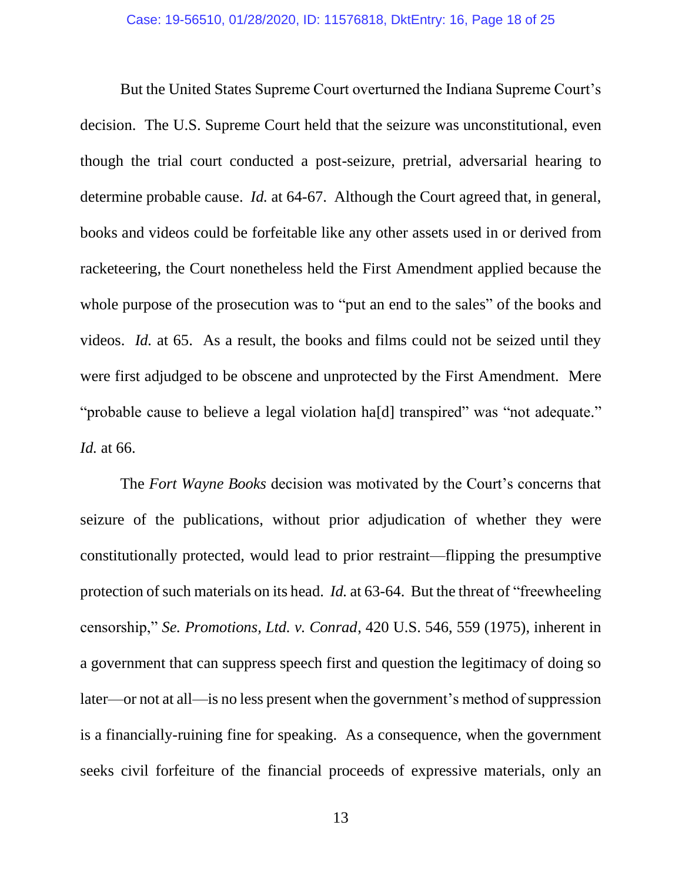But the United States Supreme Court overturned the Indiana Supreme Court's decision. The U.S. Supreme Court held that the seizure was unconstitutional, even though the trial court conducted a post-seizure, pretrial, adversarial hearing to determine probable cause. *Id.* at 64-67. Although the Court agreed that, in general, books and videos could be forfeitable like any other assets used in or derived from racketeering, the Court nonetheless held the First Amendment applied because the whole purpose of the prosecution was to "put an end to the sales" of the books and videos. *Id.* at 65. As a result, the books and films could not be seized until they were first adjudged to be obscene and unprotected by the First Amendment. Mere "probable cause to believe a legal violation ha[d] transpired" was "not adequate." *Id.* at 66.

The *Fort Wayne Books* decision was motivated by the Court's concerns that seizure of the publications, without prior adjudication of whether they were constitutionally protected, would lead to prior restraint—flipping the presumptive protection of such materials on its head. *Id.* at 63-64. But the threat of "freewheeling censorship," *Se. Promotions, Ltd. v. Conrad*, 420 U.S. 546, 559 (1975), inherent in a government that can suppress speech first and question the legitimacy of doing so later—or not at all—is no less present when the government's method of suppression is a financially-ruining fine for speaking. As a consequence, when the government seeks civil forfeiture of the financial proceeds of expressive materials, only an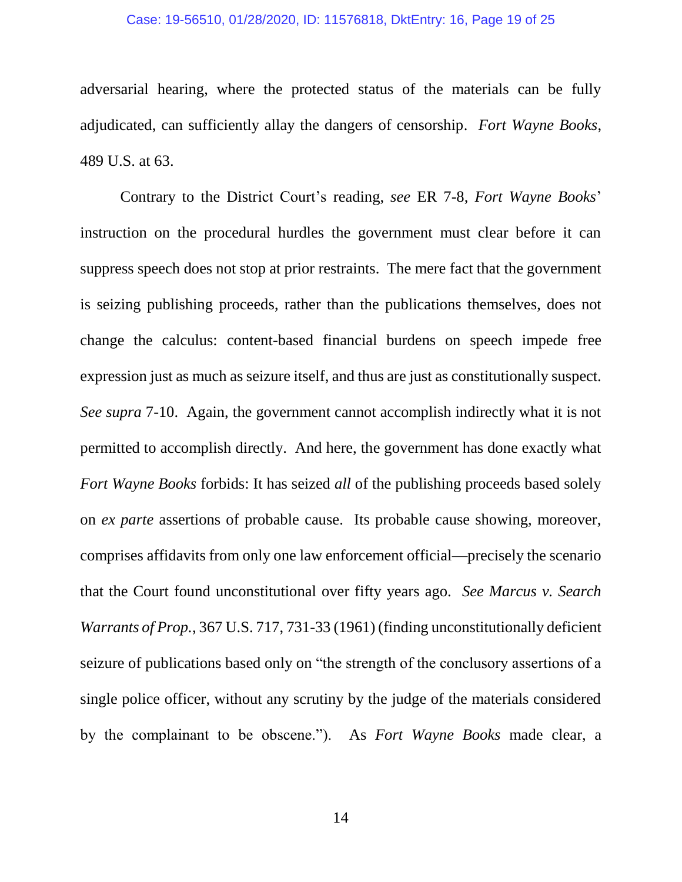#### Case: 19-56510, 01/28/2020, ID: 11576818, DktEntry: 16, Page 19 of 25

adversarial hearing, where the protected status of the materials can be fully adjudicated, can sufficiently allay the dangers of censorship. *Fort Wayne Books*, 489 U.S. at 63.

Contrary to the District Court's reading, *see* ER 7-8, *Fort Wayne Books*' instruction on the procedural hurdles the government must clear before it can suppress speech does not stop at prior restraints. The mere fact that the government is seizing publishing proceeds, rather than the publications themselves, does not change the calculus: content-based financial burdens on speech impede free expression just as much as seizure itself, and thus are just as constitutionally suspect. *See supra* 7-10. Again, the government cannot accomplish indirectly what it is not permitted to accomplish directly. And here, the government has done exactly what *Fort Wayne Books* forbids: It has seized *all* of the publishing proceeds based solely on *ex parte* assertions of probable cause. Its probable cause showing, moreover, comprises affidavits from only one law enforcement official—precisely the scenario that the Court found unconstitutional over fifty years ago. *See Marcus v. Search Warrants of Prop.*, 367 U.S. 717, 731-33 (1961) (finding unconstitutionally deficient seizure of publications based only on "the strength of the conclusory assertions of a single police officer, without any scrutiny by the judge of the materials considered by the complainant to be obscene."). As *Fort Wayne Books* made clear, a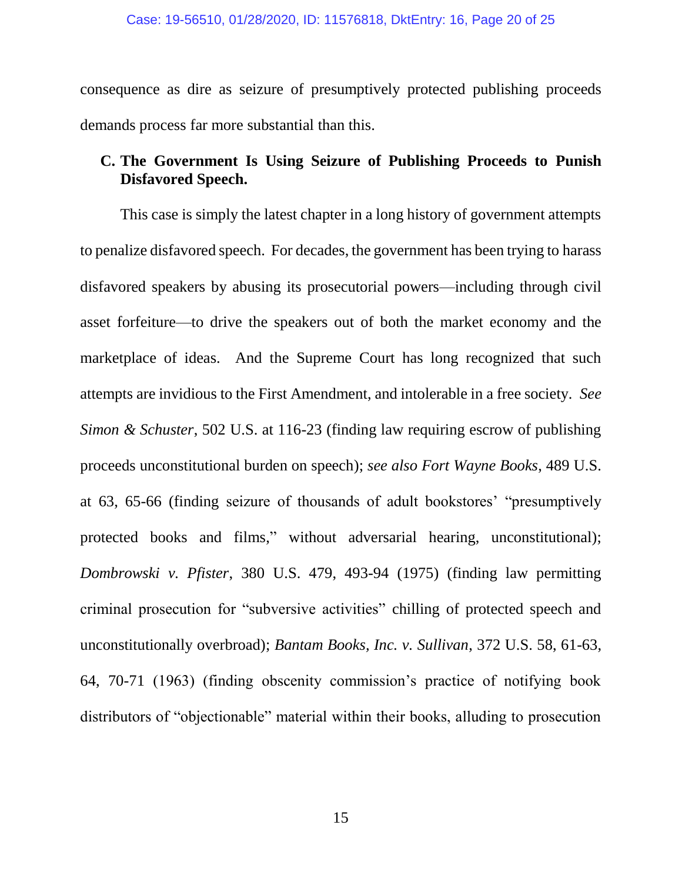consequence as dire as seizure of presumptively protected publishing proceeds demands process far more substantial than this.

# **C. The Government Is Using Seizure of Publishing Proceeds to Punish Disfavored Speech.**

This case is simply the latest chapter in a long history of government attempts to penalize disfavored speech. For decades, the government has been trying to harass disfavored speakers by abusing its prosecutorial powers—including through civil asset forfeiture—to drive the speakers out of both the market economy and the marketplace of ideas. And the Supreme Court has long recognized that such attempts are invidious to the First Amendment, and intolerable in a free society. *See Simon & Schuster*, 502 U.S. at 116-23 (finding law requiring escrow of publishing proceeds unconstitutional burden on speech); *see also Fort Wayne Books*, 489 U.S. at 63, 65-66 (finding seizure of thousands of adult bookstores' "presumptively protected books and films," without adversarial hearing, unconstitutional); *Dombrowski v. Pfister*, 380 U.S. 479, 493-94 (1975) (finding law permitting criminal prosecution for "subversive activities" chilling of protected speech and unconstitutionally overbroad); *Bantam Books, Inc. v. Sullivan*, 372 U.S. 58, 61-63, 64, 70-71 (1963) (finding obscenity commission's practice of notifying book distributors of "objectionable" material within their books, alluding to prosecution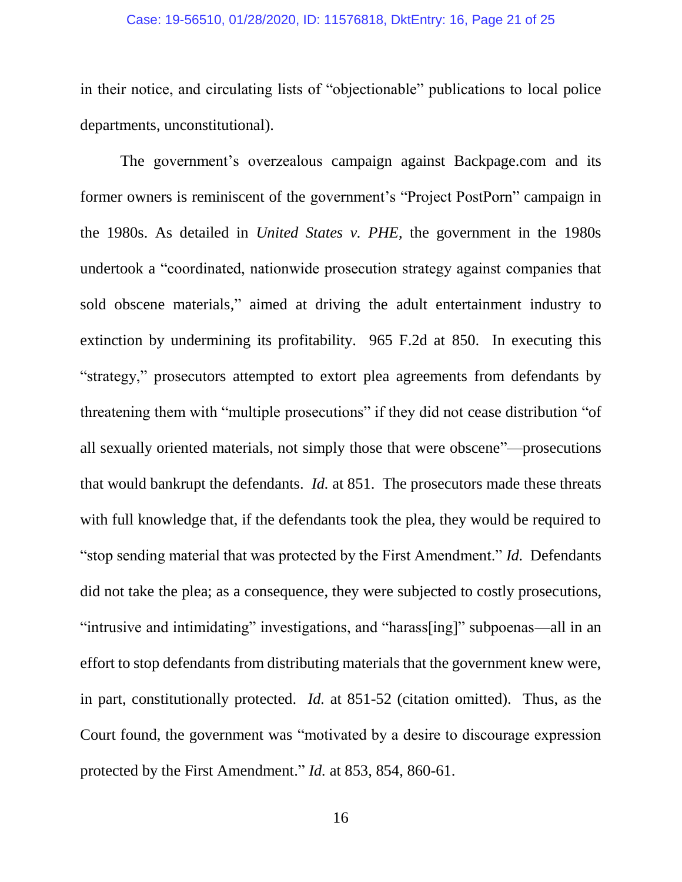#### Case: 19-56510, 01/28/2020, ID: 11576818, DktEntry: 16, Page 21 of 25

in their notice, and circulating lists of "objectionable" publications to local police departments, unconstitutional).

The government's overzealous campaign against Backpage.com and its former owners is reminiscent of the government's "Project PostPorn" campaign in the 1980s. As detailed in *United States v. PHE*, the government in the 1980s undertook a "coordinated, nationwide prosecution strategy against companies that sold obscene materials," aimed at driving the adult entertainment industry to extinction by undermining its profitability. 965 F.2d at 850. In executing this "strategy," prosecutors attempted to extort plea agreements from defendants by threatening them with "multiple prosecutions" if they did not cease distribution "of all sexually oriented materials, not simply those that were obscene"—prosecutions that would bankrupt the defendants. *Id.* at 851. The prosecutors made these threats with full knowledge that, if the defendants took the plea, they would be required to "stop sending material that was protected by the First Amendment." *Id.* Defendants did not take the plea; as a consequence, they were subjected to costly prosecutions, "intrusive and intimidating" investigations, and "harass[ing]" subpoenas—all in an effort to stop defendants from distributing materials that the government knew were, in part, constitutionally protected. *Id.* at 851-52 (citation omitted). Thus, as the Court found, the government was "motivated by a desire to discourage expression protected by the First Amendment." *Id.* at 853, 854, 860-61.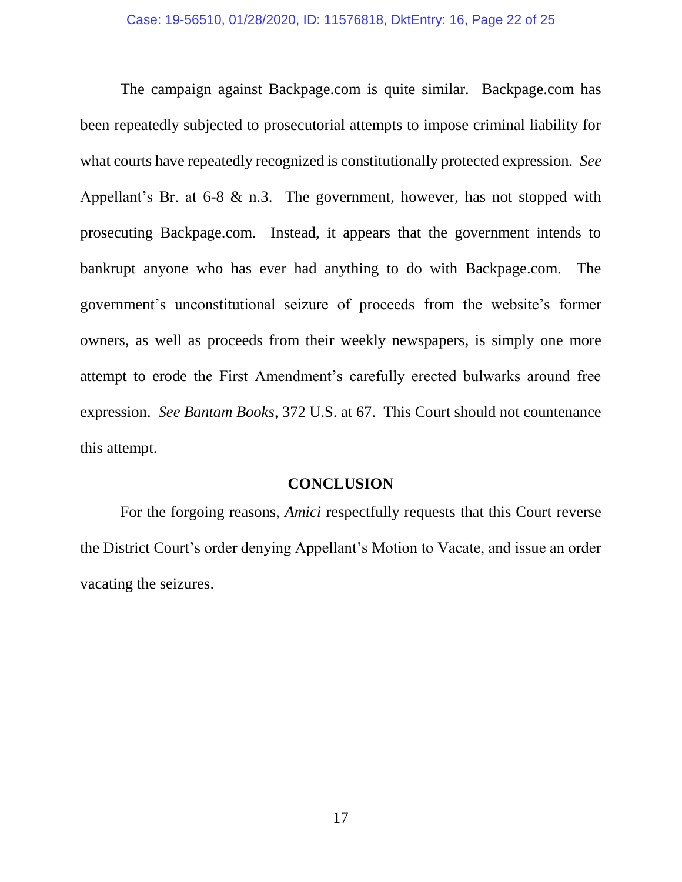The campaign against Backpage.com is quite similar. Backpage.com has been repeatedly subjected to prosecutorial attempts to impose criminal liability for what courts have repeatedly recognized is constitutionally protected expression. *See* Appellant's Br. at 6-8 & n.3. The government, however, has not stopped with prosecuting Backpage.com. Instead, it appears that the government intends to bankrupt anyone who has ever had anything to do with Backpage.com. The government's unconstitutional seizure of proceeds from the website's former owners, as well as proceeds from their weekly newspapers, is simply one more attempt to erode the First Amendment's carefully erected bulwarks around free expression. *See Bantam Books*, 372 U.S. at 67. This Court should not countenance this attempt.

#### **CONCLUSION**

For the forgoing reasons, *Amici* respectfully requests that this Court reverse the District Court's order denying Appellant's Motion to Vacate, and issue an order vacating the seizures.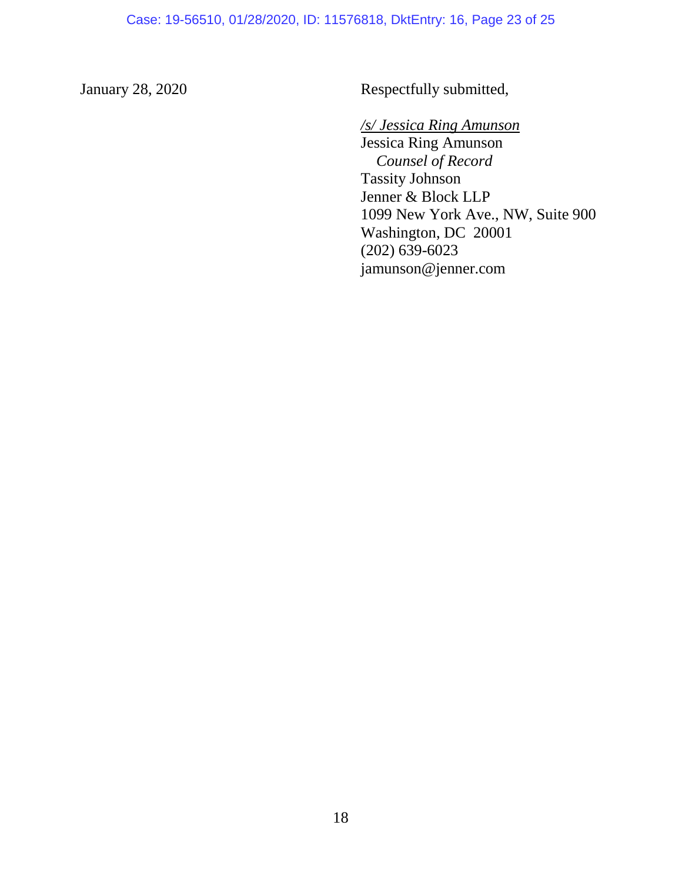January 28, 2020 Respectfully submitted,

*/s/ Jessica Ring Amunson* Jessica Ring Amunson *Counsel of Record* Tassity Johnson Jenner & Block LLP 1099 New York Ave., NW, Suite 900 Washington, DC 20001 (202) 639-6023 jamunson@jenner.com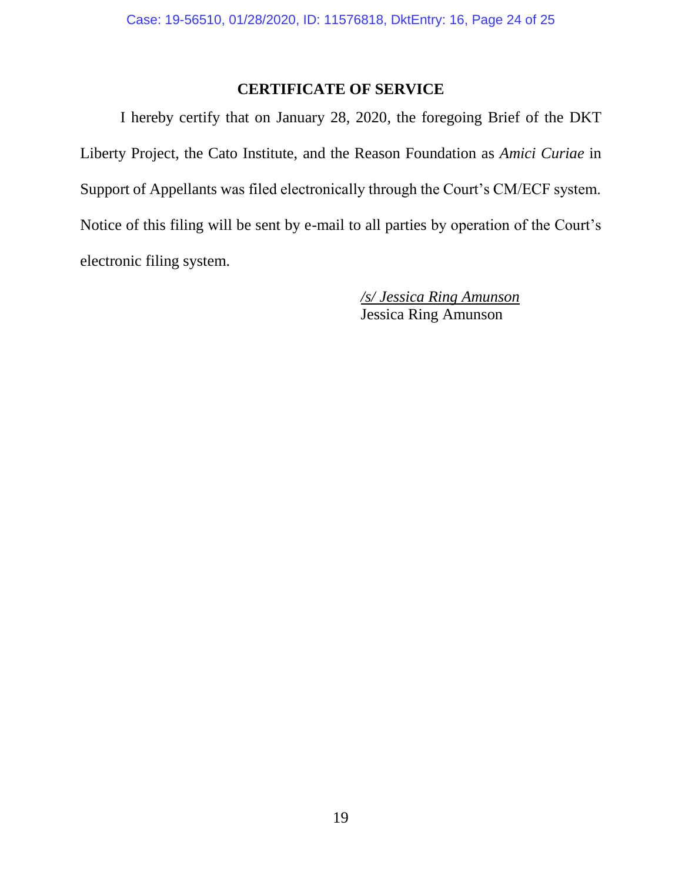## **CERTIFICATE OF SERVICE**

I hereby certify that on January 28, 2020, the foregoing Brief of the DKT Liberty Project, the Cato Institute, and the Reason Foundation as *Amici Curiae* in Support of Appellants was filed electronically through the Court's CM/ECF system. Notice of this filing will be sent by e-mail to all parties by operation of the Court's electronic filing system.

> */s/ Jessica Ring Amunson* Jessica Ring Amunson